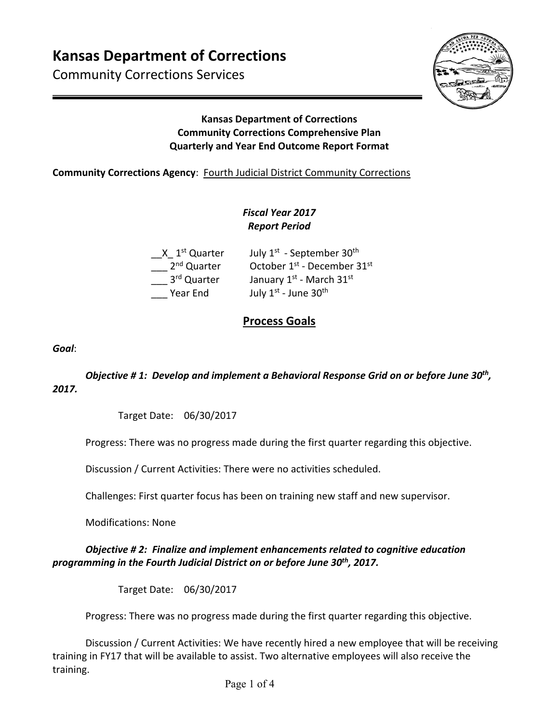Community Corrections Services



## **Kansas Department of Corrections Community Corrections Comprehensive Plan Quarterly and Year End Outcome Report Format**

## **Community Corrections Agency: Fourth Judicial District Community Corrections**

# *Fiscal Year 2017 Report Period*

| $X1st$ Quarter          | July 1 <sup>st</sup> - September 30 <sup>th</sup>   |
|-------------------------|-----------------------------------------------------|
| 2 <sup>nd</sup> Quarter | October 1 <sup>st</sup> - December 31 <sup>st</sup> |
| 3rd Quarter             | January 1st - March 31st                            |
| Year End                | July 1st - June 30th                                |

# **Process Goals**

*Goal*:

*Objective # 1: Develop and implement a Behavioral Response Grid on or before June 30th, 2017.* 

Target Date: 06/30/2017

Progress: There was no progress made during the first quarter regarding this objective.

Discussion / Current Activities: There were no activities scheduled.

Challenges: First quarter focus has been on training new staff and new supervisor.

Modifications: None

#### *Objective # 2: Finalize and implement enhancements related to cognitive education programming in the Fourth Judicial District on or before June 30th, 2017.*

Target Date: 06/30/2017

Progress: There was no progress made during the first quarter regarding this objective.

Discussion / Current Activities: We have recently hired a new employee that will be receiving training in FY17 that will be available to assist. Two alternative employees will also receive the training.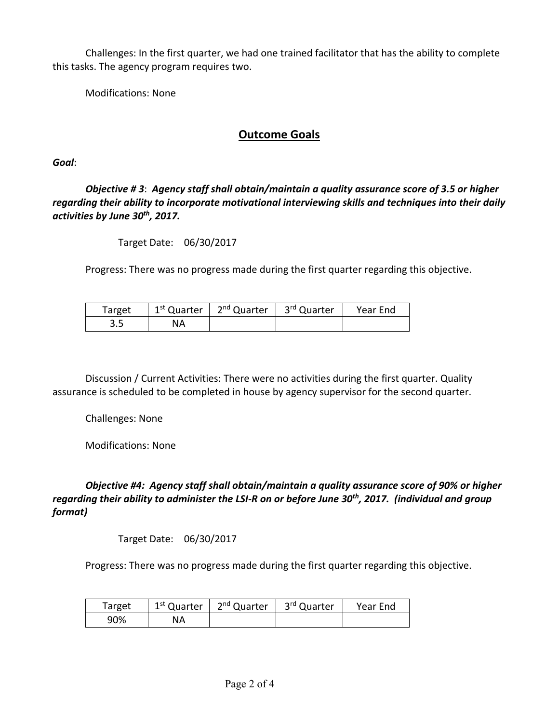Challenges: In the first quarter, we had one trained facilitator that has the ability to complete this tasks. The agency program requires two.

Modifications: None

# **Outcome Goals**

*Goal*:

*Objective # 3*: *Agency staff shall obtain/maintain a quality assurance score of 3.5 or higher regarding their ability to incorporate motivational interviewing skills and techniques into their daily activities by June 30th, 2017.* 

Target Date: 06/30/2017

Progress: There was no progress made during the first quarter regarding this objective.

| Target | 1 <sup>st</sup> Quarter | 2 <sup>nd</sup> Quarter | 3 <sup>rd</sup> Quarter | Year End |
|--------|-------------------------|-------------------------|-------------------------|----------|
| כ.כ    | NA                      |                         |                         |          |

Discussion / Current Activities: There were no activities during the first quarter. Quality assurance is scheduled to be completed in house by agency supervisor for the second quarter.

Challenges: None

Modifications: None

*Objective #4: Agency staff shall obtain/maintain a quality assurance score of 90% or higher regarding their ability to administer the LSI‐R on or before June 30th, 2017. (individual and group format)* 

Target Date: 06/30/2017

Progress: There was no progress made during the first quarter regarding this objective.

| Target | 1 <sup>st</sup> Quarter | 2 <sup>nd</sup> Quarter | $\parallel$ 3 <sup>rd</sup> Quarter | Year End |
|--------|-------------------------|-------------------------|-------------------------------------|----------|
| 90%    | ΝA                      |                         |                                     |          |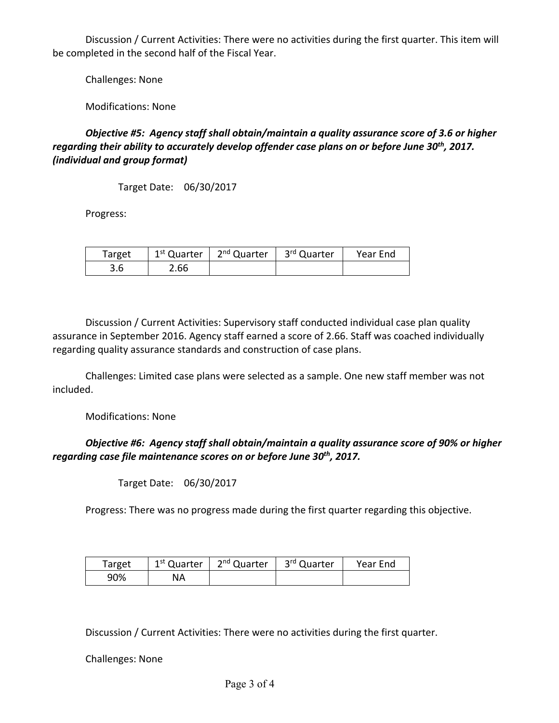Discussion / Current Activities: There were no activities during the first quarter. This item will be completed in the second half of the Fiscal Year.

Challenges: None

Modifications: None

*Objective #5: Agency staff shall obtain/maintain a quality assurance score of 3.6 or higher regarding their ability to accurately develop offender case plans on or before June 30th, 2017. (individual and group format)* 

Target Date: 06/30/2017

Progress:

| Target | 1 <sup>st</sup> Quarter | 2 <sup>nd</sup> Quarter | 3 <sup>rd</sup> Quarter | Year End |
|--------|-------------------------|-------------------------|-------------------------|----------|
| 3.6    | 2.66                    |                         |                         |          |

Discussion / Current Activities: Supervisory staff conducted individual case plan quality assurance in September 2016. Agency staff earned a score of 2.66. Staff was coached individually regarding quality assurance standards and construction of case plans.

Challenges: Limited case plans were selected as a sample. One new staff member was not included.

Modifications: None

#### *Objective #6: Agency staff shall obtain/maintain a quality assurance score of 90% or higher regarding case file maintenance scores on or before June 30th, 2017.*

Target Date: 06/30/2017

Progress: There was no progress made during the first quarter regarding this objective.

| Target | 1 <sup>st</sup> Quarter | 2 <sup>nd</sup> Quarter | 3rd Quarter | Year End |
|--------|-------------------------|-------------------------|-------------|----------|
| 90%    | NA                      |                         |             |          |

Discussion / Current Activities: There were no activities during the first quarter.

Challenges: None